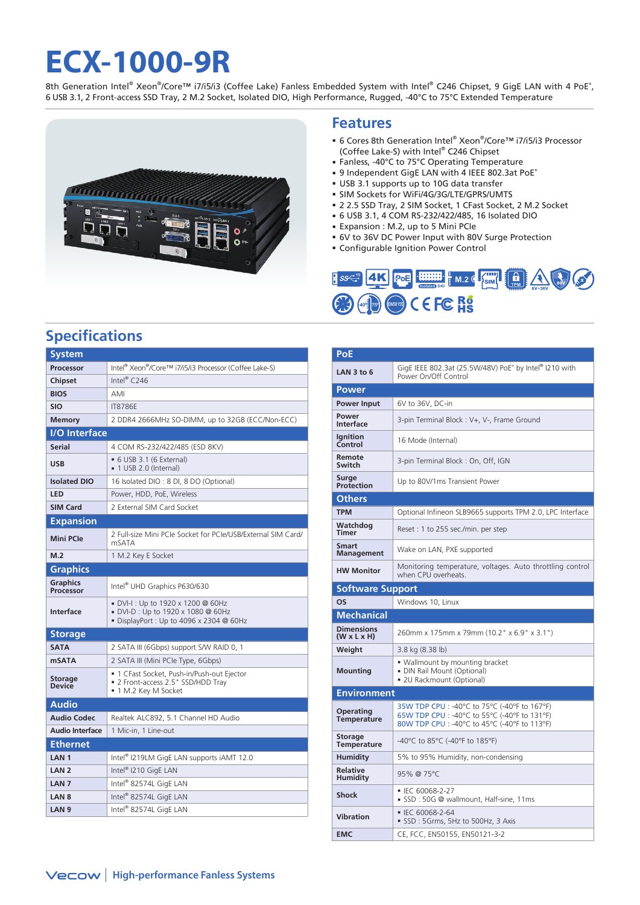# **ECX-1000-9R**

8th Generation Intel® Xeon®/Core™ i7/i5/i3 (Coffee Lake) Fanless Embedded System with Intel® C246 Chipset, 9 GigE LAN with 4 PoE\*, 6 USB 3.1, 2 Front-access SSD Tray, 2 M.2 Socket, Isolated DIO, High Performance, Rugged, -40°C to 75°C Extended Temperature



### **Features**

- 6 Cores 8th Generation Intel® Xeon®/Core™ i7/i5/i3 Processor (Coffee Lake-S) with Intel® C246 Chipset
- Fanless, -40°C to 75°C Operating Temperature
- 9 Independent GigE LAN with 4 IEEE 802.3at PoE+
- USB 3.1 supports up to 10G data transfer
- SIM Sockets for WiFi/4G/3G/LTE/GPRS/UMTS
- 2 2.5 SSD Tray, 2 SIM Socket, 1 CFast Socket, 2 M.2 Socket
- 6 USB 3.1, 4 COM RS-232/422/485, 16 Isolated DIO
- Expansion : M.2, up to 5 Mini PCIe
- 6V to 36V DC Power Input with 80V Surge Protection
- Configurable Ignition Power Control



## **Specifications**

| System                          |                                                                                                                     |  |  |  |  |  |  |
|---------------------------------|---------------------------------------------------------------------------------------------------------------------|--|--|--|--|--|--|
| Processor                       | Intel® Xeon®/Core™ i7/i5/i3 Processor (Coffee Lake-S)                                                               |  |  |  |  |  |  |
| <b>Chipset</b>                  | Intel® $C246$                                                                                                       |  |  |  |  |  |  |
| <b>BIOS</b>                     | AMI                                                                                                                 |  |  |  |  |  |  |
| <b>SIO</b>                      | <b>IT8786F</b>                                                                                                      |  |  |  |  |  |  |
| <b>Memory</b>                   | 2 DDR4 2666MHz SO-DIMM, up to 32GB (ECC/Non-ECC)                                                                    |  |  |  |  |  |  |
| <b>I/O</b> Interface            |                                                                                                                     |  |  |  |  |  |  |
| Serial                          | 4 COM RS-232/422/485 (ESD 8KV)                                                                                      |  |  |  |  |  |  |
| <b>USB</b>                      | • 6 USB 3.1 (6 External)<br>■ 1 USB 2.0 (Internal)                                                                  |  |  |  |  |  |  |
| <b>Isolated DIO</b>             | 16 Isolated DIO: 8 DI, 8 DO (Optional)                                                                              |  |  |  |  |  |  |
| <b>LED</b>                      | Power, HDD, PoE, Wireless                                                                                           |  |  |  |  |  |  |
| <b>SIM Card</b>                 | 2 External SIM Card Socket                                                                                          |  |  |  |  |  |  |
| <b>Expansion</b>                |                                                                                                                     |  |  |  |  |  |  |
| <b>Mini PCle</b>                | 2 Full-size Mini PCIe Socket for PCIe/USB/External SIM Card/<br>mSATA                                               |  |  |  |  |  |  |
| M.2                             | 1 M.2 Key E Socket                                                                                                  |  |  |  |  |  |  |
| <b>Graphics</b>                 |                                                                                                                     |  |  |  |  |  |  |
| Graphics<br><b>Processor</b>    | Intel <sup>®</sup> UHD Graphics P630/630                                                                            |  |  |  |  |  |  |
| <b>Interface</b>                | ■ DVI-I : Up to 1920 x 1200 @ 60Hz<br>• DVI-D : Up to 1920 x 1080 @ 60Hz<br>■ DisplayPort: Up to 4096 x 2304 @ 60Hz |  |  |  |  |  |  |
| <b>Storage</b>                  |                                                                                                                     |  |  |  |  |  |  |
| <b>SATA</b>                     | 2 SATA III (6Gbps) support S/W RAID 0, 1                                                                            |  |  |  |  |  |  |
| <b>mSATA</b>                    | 2 SATA III (Mini PCIe Type, 6Gbps)                                                                                  |  |  |  |  |  |  |
| <b>Storage</b><br><b>Device</b> | ■ 1 CFast Socket, Push-in/Push-out Ejector<br>• 2 Front-access 2.5" SSD/HDD Tray<br>■ 1 M.2 Key M Socket            |  |  |  |  |  |  |
| <b>Audio</b>                    |                                                                                                                     |  |  |  |  |  |  |
| <b>Audio Codec</b>              | Realtek ALC892, 5.1 Channel HD Audio                                                                                |  |  |  |  |  |  |
| <b>Audio Interface</b>          | 1 Mic-in, 1 Line-out                                                                                                |  |  |  |  |  |  |
| <b>Ethernet</b>                 |                                                                                                                     |  |  |  |  |  |  |
| LAN <sub>1</sub>                | Intel <sup>®</sup> I219LM GigE LAN supports iAMT 12.0                                                               |  |  |  |  |  |  |
| LAN <sub>2</sub>                | Intel® I210 GigE LAN                                                                                                |  |  |  |  |  |  |
| LAN <sub>7</sub>                | Intel® 82574L GigE LAN                                                                                              |  |  |  |  |  |  |
| LAN <sub>8</sub>                | Intel® 82574L GigE LAN                                                                                              |  |  |  |  |  |  |
| LAN <sub>9</sub>                | Intel® 82574L GigE LAN                                                                                              |  |  |  |  |  |  |

| PoE                                          |                                                                                                                                             |  |  |  |  |  |
|----------------------------------------------|---------------------------------------------------------------------------------------------------------------------------------------------|--|--|--|--|--|
| LAN $3$ to 6                                 | GigE IEEE 802.3at (25.5W/48V) PoE <sup>+</sup> by Intel® I210 with<br>Power On/Off Control                                                  |  |  |  |  |  |
| Power                                        |                                                                                                                                             |  |  |  |  |  |
| Power Input                                  | 6V to 36V, DC-in                                                                                                                            |  |  |  |  |  |
| Power<br><b>Interface</b>                    | 3-pin Terminal Block: V+, V-, Frame Ground                                                                                                  |  |  |  |  |  |
| Ignition<br>Control                          | 16 Mode (Internal)                                                                                                                          |  |  |  |  |  |
| Remote<br>Switch                             | 3-pin Terminal Block: On, Off, IGN                                                                                                          |  |  |  |  |  |
| Surge<br>Protection                          | Up to 80V/1ms Transient Power                                                                                                               |  |  |  |  |  |
| <b>Others</b>                                |                                                                                                                                             |  |  |  |  |  |
| <b>TPM</b>                                   | Optional Infineon SLB9665 supports TPM 2.0, LPC Interface                                                                                   |  |  |  |  |  |
| Watchdog<br>Timer                            | Reset: 1 to 255 sec./min. per step                                                                                                          |  |  |  |  |  |
| Smart<br>Management                          | Wake on LAN, PXE supported                                                                                                                  |  |  |  |  |  |
| <b>HW Monitor</b>                            | Monitoring temperature, voltages. Auto throttling control<br>when CPU overheats.                                                            |  |  |  |  |  |
| <b>Software Support</b>                      |                                                                                                                                             |  |  |  |  |  |
|                                              |                                                                                                                                             |  |  |  |  |  |
| OS                                           | Windows 10, Linux                                                                                                                           |  |  |  |  |  |
| <b>Mechanical</b>                            |                                                                                                                                             |  |  |  |  |  |
| <b>Dimensions</b><br>$(W \times L \times H)$ | 260mm x 175mm x 79mm (10.2" x 6.9" x 3.1")                                                                                                  |  |  |  |  |  |
| Weight                                       | 3.8 kg (8.38 lb)                                                                                                                            |  |  |  |  |  |
| <b>Mounting</b>                              | . Wallmount by mounting bracket<br>· DIN Rail Mount (Optional)<br>■ 2U Rackmount (Optional)                                                 |  |  |  |  |  |
| Environment                                  |                                                                                                                                             |  |  |  |  |  |
| <b>Operating</b><br><b>Temperature</b>       | 35W TDP CPU : -40°C to 75°C (-40°F to 167°F)<br>65W TDP CPU : -40°C to 55°C (-40°F to 131°F)<br>80W TDP CPU: -40°C to 45°C (-40°F to 113°F) |  |  |  |  |  |
| Storage<br><b>Temperature</b>                | -40°C to 85°C (-40°F to 185°F)                                                                                                              |  |  |  |  |  |
| <b>Humidity</b>                              | 5% to 95% Humidity, non-condensing                                                                                                          |  |  |  |  |  |
| Relative<br>Humidity                         | 95% @ 75°C                                                                                                                                  |  |  |  |  |  |
| <b>Shock</b>                                 | ■ IEC 60068-2-27<br>SSD: 50G @ wallmount, Half-sine, 11ms                                                                                   |  |  |  |  |  |
| <b>Vibration</b>                             | $\blacksquare$ IFC 60068-2-64<br>SSD: 5Grms, 5Hz to 500Hz, 3 Axis                                                                           |  |  |  |  |  |
| <b>EMC</b>                                   | CE, FCC, EN50155, EN50121-3-2                                                                                                               |  |  |  |  |  |